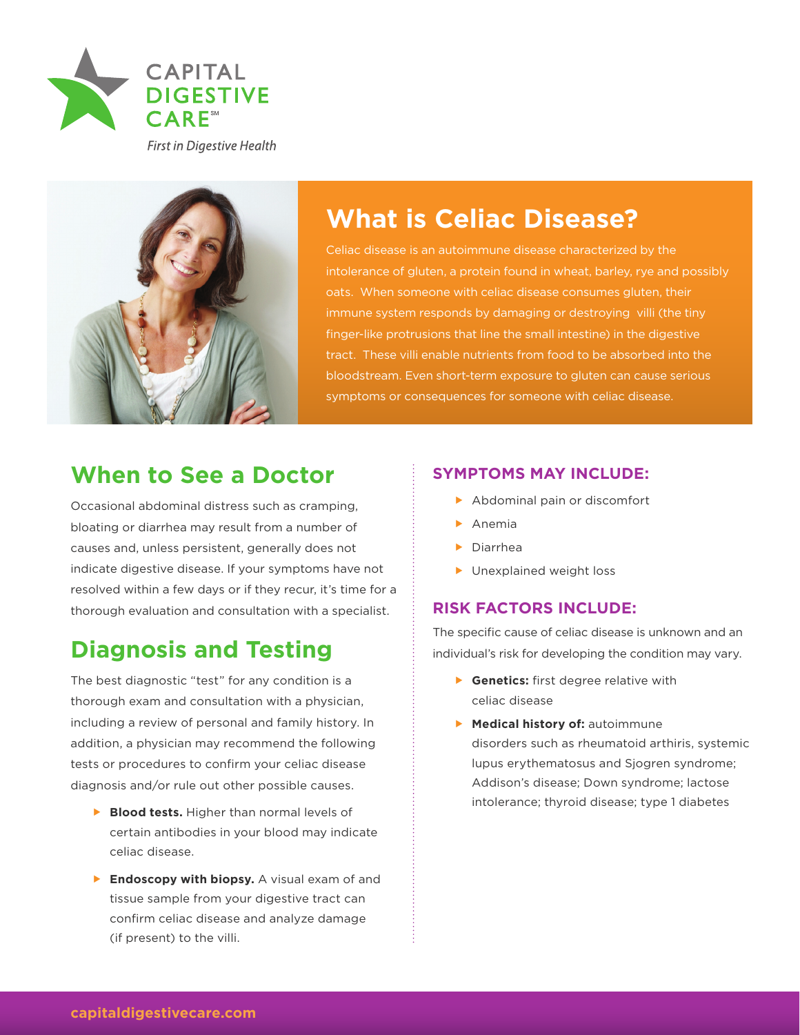

**First in Digestive Health** 



# **What is Celiac Disease?**

intolerance of gluten, a protein found in wheat, barley, rye and possibly oats. When someone with celiac disease consumes gluten, their immune system responds by damaging or destroying villi (the tiny finger-like protrusions that line the small intestine) in the digestive tract. These villi enable nutrients from food to be absorbed into the bloodstream. Even short-term exposure to gluten can cause serious symptoms or consequences for someone with celiac disease.

### **When to See a Doctor**

Occasional abdominal distress such as cramping, bloating or diarrhea may result from a number of causes and, unless persistent, generally does not indicate digestive disease. If your symptoms have not resolved within a few days or if they recur, it's time for a thorough evaluation and consultation with a specialist.

# **Diagnosis and Testing**

The best diagnostic "test" for any condition is a thorough exam and consultation with a physician, including a review of personal and family history. In addition, a physician may recommend the following tests or procedures to confirm your celiac disease diagnosis and/or rule out other possible causes.

- **Blood tests.** Higher than normal levels of certain antibodies in your blood may indicate celiac disease.
- **Findoscopy with biopsy.** A visual exam of and tissue sample from your digestive tract can confirm celiac disease and analyze damage (if present) to the villi.

### **SYMPTOMS MAY INCLUDE:**

- $\blacktriangleright$  Abdominal pain or discomfort
- $\blacktriangleright$  Anemia
- $\blacktriangleright$  Diarrhea
- $\blacktriangleright$  Unexplained weight loss

### **RISK FACTORS INCLUDE:**

The specific cause of celiac disease is unknown and an individual's risk for developing the condition may vary.

- **F** Genetics: first degree relative with celiac disease
- **Medical history of:** autoimmune disorders such as rheumatoid arthiris, systemic lupus erythematosus and Sjogren syndrome; Addison's disease; Down syndrome; lactose intolerance; thyroid disease; type 1 diabetes